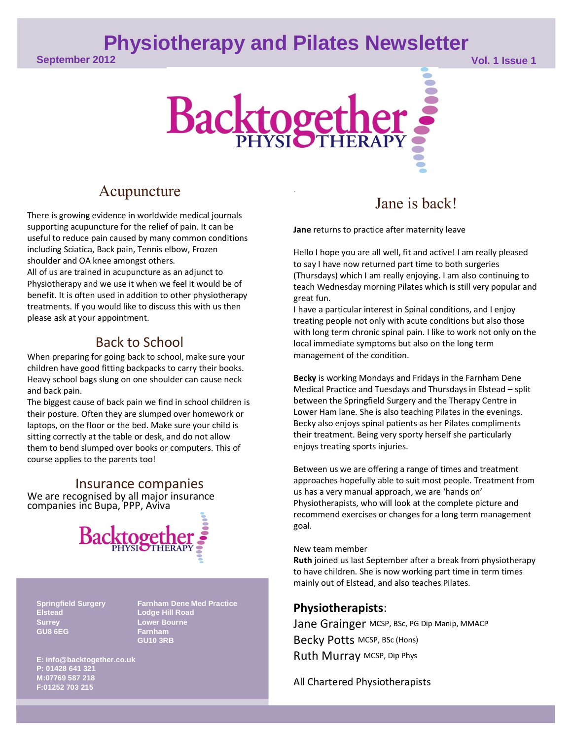## **Physiotherapy and Pilates Newsletter**

**September 2012 Vol. 1 Issue 1**



.

### Acupuncture

There is growing evidence in worldwide medical journals supporting acupuncture for the relief of pain. It can be useful to reduce pain caused by many common conditions including Sciatica, Back pain, Tennis elbow, Frozen shoulder and OA knee amongst others.

All of us are trained in acupuncture as an adjunct to Physiotherapy and we use it when we feel it would be of benefit. It is often used in addition to other physiotherapy treatments. If you would like to discuss this with us then please ask at your appointment.

## Back to School

When preparing for going back to school, make sure your children have good fitting backpacks to carry their books. Heavy school bags slung on one shoulder can cause neck and back pain.

The biggest cause of back pain we find in school children is their posture. Often they are slumped over homework or laptops, on the floor or the bed. Make sure your child is sitting correctly at the table or desk, and do not allow them to bend slumped over books or computers. This of course applies to the parents too!

Insurance companies We are recognised by all major insurance companies inc Bupa, PPP, Aviva



**Elstead Lodge Hill Road Surrey Lower Bourne GU8 6EG Farnham**

**Springfield Surgery Farnham Dene Med Practice GU10 3RB**

**E: info@backtogether.co.uk P: 01428 641 321 M:07769 587 218 F:01252 703 215**

## Jane is back!

**Jane** returns to practice after maternity leave

Hello I hope you are all well, fit and active! I am really pleased to say I have now returned part time to both surgeries (Thursdays) which I am really enjoying. I am also continuing to teach Wednesday morning Pilates which is still very popular and great fun.

I have a particular interest in Spinal conditions, and I enjoy treating people not only with acute conditions but also those with long term chronic spinal pain. I like to work not only on the local immediate symptoms but also on the long term management of the condition.

**Becky** is working Mondays and Fridays in the Farnham Dene Medical Practice and Tuesdays and Thursdays in Elstead – split between the Springfield Surgery and the Therapy Centre in Lower Ham lane. She is also teaching Pilates in the evenings. Becky also enjoys spinal patients as her Pilates compliments their treatment. Being very sporty herself she particularly enjoys treating sports injuries.

Between us we are offering a range of times and treatment approaches hopefully able to suit most people. Treatment from us has a very manual approach, we are 'hands on' Physiotherapists, who will look at the complete picture and recommend exercises or changes for a long term management goal.

#### New team member

**Ruth** joined us last September after a break from physiotherapy to have children. She is now working part time in term times mainly out of Elstead, and also teaches Pilates.

#### **Physiotherapists**:

Jane Grainger MCSP, BSc, PG Dip Manip, MMACP Becky Potts MCSP, BSc (Hons) Ruth Murray MCSP, Dip Phys

All Chartered Physiotherapists